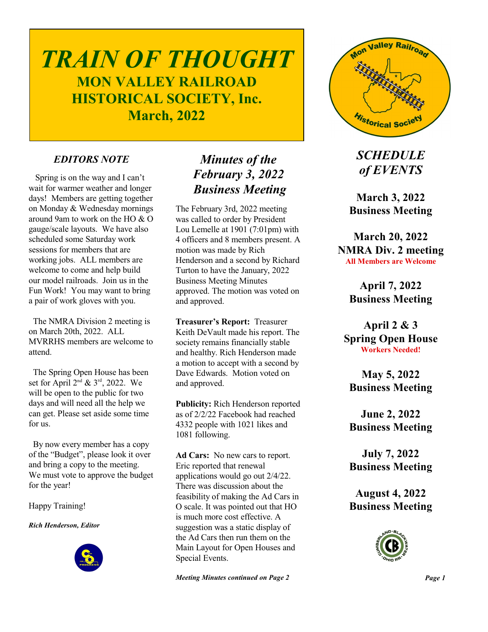# *TRAIN OF THOUGHT* **MON VALLEY RAILROAD HISTORICAL SOCIETY, Inc. March, 2022**

#### *EDITORS NOTE*

 Spring is on the way and I can't wait for warmer weather and longer days! Members are getting together on Monday & Wednesday mornings around 9am to work on the HO & O gauge/scale layouts. We have also scheduled some Saturday work sessions for members that are working jobs. ALL members are welcome to come and help build our model railroads. Join us in the Fun Work! You may want to bring a pair of work gloves with you.

 The NMRA Division 2 meeting is on March 20th, 2022. ALL MVRRHS members are welcome to attend.

 The Spring Open House has been set for April  $2^{nd}$  &  $3^{rd}$ , 2022. We will be open to the public for two days and will need all the help we can get. Please set aside some time for us.

 By now every member has a copy of the "Budget", please look it over and bring a copy to the meeting. We must vote to approve the budget for the year!

Happy Training!

*Rich Henderson, Editor*



# *Minutes of the February 3, 2022 Business Meeting*

The February 3rd, 2022 meeting was called to order by President Lou Lemelle at 1901 (7:01pm) with 4 officers and 8 members present. A motion was made by Rich Henderson and a second by Richard Turton to have the January, 2022 Business Meeting Minutes approved. The motion was voted on and approved.

**Treasurer's Report:** Treasurer Keith DeVault made his report. The society remains financially stable and healthy. Rich Henderson made a motion to accept with a second by Dave Edwards. Motion voted on and approved.

**Publicity:** Rich Henderson reported as of 2/2/22 Facebook had reached 4332 people with 1021 likes and 1081 following.

**Ad Cars:** No new cars to report. Eric reported that renewal applications would go out 2/4/22. There was discussion about the feasibility of making the Ad Cars in O scale. It was pointed out that HO is much more cost effective. A suggestion was a static display of the Ad Cars then run them on the Main Layout for Open Houses and Special Events.

*Meeting Minutes continued on Page 2*



*SCHEDULE of EVENTS*

**March 3, 2022 Business Meeting**

**March 20, 2022 NMRA Div. 2 meeting All Members are Welcome**

> **April 7, 2022 Business Meeting**

**April 2 & 3 Spring Open House Workers Needed!**

**May 5, 2022 Business Meeting**

**June 2, 2022 Business Meeting**

**July 7, 2022 Business Meeting**

**August 4, 2022 Business Meeting**

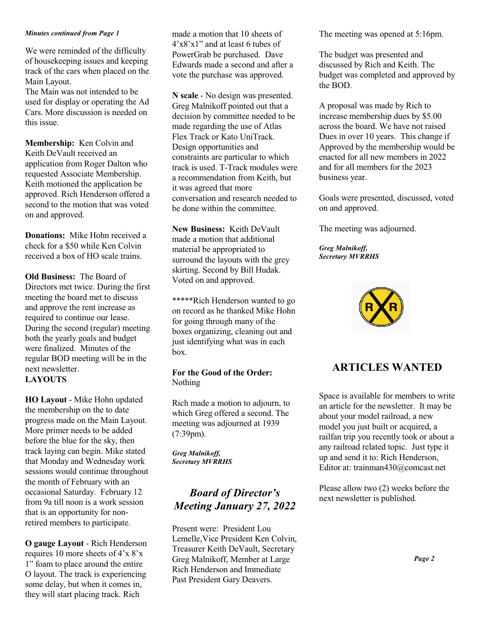#### *Minutes continued from Page 1*

We were reminded of the difficulty of housekeeping issues and keeping track of the cars when placed on the Main Layout.

The Main was not intended to be used for display or operating the Ad Cars. More discussion is needed on this issue.

**Membership:** Ken Colvin and Keith DeVault received an application from Roger Dalton who requested Associate Membership. Keith motioned the application be approved. Rich Henderson offered a second to the motion that was voted on and approved.

**Donations:** Mike Hohn received a check for a \$50 while Ken Colvin received a box of HO scale trains.

**Old Business:** The Board of Directors met twice. During the first meeting the board met to discuss and approve the rent increase as required to continue our lease. During the second (regular) meeting both the yearly goals and budget were finalized. Minutes of the regular BOD meeting will be in the next newsletter. **LAYOUTS**

**HO Layout** - Mike Hohn updated the membership on the to date progress made on the Main Layout. More primer needs to be added before the blue for the sky, then track laying can begin. Mike stated that Monday and Wednesday work sessions would continue throughout the month of February with an occasional Saturday. February 12 from 9a till noon is a work session that is an opportunity for nonretired members to participate.

**O gauge Layout** - Rich Henderson requires 10 more sheets of 4'x 8'x 1" foam to place around the entire O layout. The track is experiencing some delay, but when it comes in, they will start placing track. Rich

made a motion that 10 sheets of 4'x8'x1" and at least 6 tubes of PowerGrab be purchased. Dave Edwards made a second and after a vote the purchase was approved.

**N scale** - No design was presented. Greg Malnikoff pointed out that a decision by committee needed to be made regarding the use of Atlas Flex Track or Kato UniTrack. Design opportunities and constraints are particular to which track is used. T-Track modules were a recommendation from Keith, but it was agreed that more conversation and research needed to be done within the committee.

**New Business:** Keith DeVault made a motion that additional material be appropriated to surround the layouts with the grey skirting. Second by Bill Hudak. Voted on and approved.

\*\*\*\*\*Rich Henderson wanted to go on record as he thanked Mike Hohn for going through many of the boxes organizing, cleaning out and just identifying what was in each box.

#### **For the Good of the Order:** Nothing

Rich made a motion to adjourn, to which Greg offered a second. The meeting was adjourned at 1939 (7:39pm).

*Greg Malnikoff, Secretary MVRRHS*

# *Board of Director's Meeting January 27, 2022*

Present were: President Lou Lemelle,Vice President Ken Colvin, Treasurer Keith DeVault, Secretary Greg Malnikoff, Member at Large Rich Henderson and Immediate Past President Gary Deavers.

The meeting was opened at 5:16pm.

The budget was presented and discussed by Rich and Keith. The budget was completed and approved by the BOD.

A proposal was made by Rich to increase membership dues by \$5.00 across the board. We have not raised Dues in over 10 years. This change if Approved by the membership would be enacted for all new members in 2022 and for all members for the 2023 business year.

Goals were presented, discussed, voted on and approved.

The meeting was adjourned.

*Greg Malnikoff, Secretary MVRRHS*



## **ARTICLES WANTED**

Space is available for members to write an article for the newsletter. It may be about your model railroad, a new model you just built or acquired, a railfan trip you recently took or about a any railroad related topic. Just type it up and send it to: Rich Henderson, Editor at: trainman430@comcast.net

Please allow two (2) weeks before the next newsletter is published.